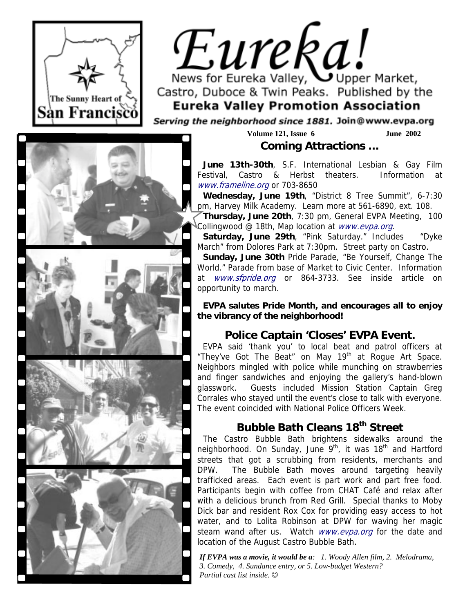

# Eureka! News for Eureka Valley, Upper Market,

Castro, Duboce & Twin Peaks. Published by the **Eureka Valley Promotion Association** 

Serving the neighborhood since 1881. Join@www.evpa.org

**Volume 121, Issue 6 June 2002 Coming Attractions …** 

**June 13th-30th**, S.F. International Lesbian & Gay Film Festival, Castro & Herbst theaters. Information at www.frameline.org or 703-8650

**Wednesday, June 19th**, "District 8 Tree Summit", 6-7:30 pm, Harvey Milk Academy. Learn more at 561-6890, ext. 108.

**Thursday, June 20th**, 7:30 pm, General EVPA Meeting, 100 Collingwood @ 18th, Map location at *www.evpa.org.* 

**Saturday, June 29th**, "Pink Saturday." Includes "Dyke March" from Dolores Park at 7:30pm. Street party on Castro.

**Sunday, June 30th** Pride Parade, "Be Yourself, Change The World." Parade from base of Market to Civic Center. Information at www.sfpride.org or 864-3733. See inside article on opportunity to march.

**EVPA salutes Pride Month, and encourages all to enjoy the vibrancy of the neighborhood!** 

# **Police Captain 'Closes' EVPA Event.**

EVPA said 'thank you' to local beat and patrol officers at "They've Got The Beat" on May 19<sup>th</sup> at Rogue Art Space. Neighbors mingled with police while munching on strawberries and finger sandwiches and enjoying the gallery's hand-blown glasswork. Guests included Mission Station Captain Greg Corrales who stayed until the event's close to talk with everyone. The event coincided with National Police Officers Week.

# **Bubble Bath Cleans 18th Street**

The Castro Bubble Bath brightens sidewalks around the neighborhood. On Sunday, June 9<sup>th</sup>, it was 18<sup>th</sup> and Hartford streets that got a scrubbing from residents, merchants and DPW. The Bubble Bath moves around targeting heavily trafficked areas. Each event is part work and part free food. Participants begin with coffee from CHAT Café and relax after with a delicious brunch from Red Grill. Special thanks to Moby Dick bar and resident Rox Cox for providing easy access to hot water, and to Lolita Robinson at DPW for waving her magic steam wand after us. Watch www.evpa.org for the date and location of the August Castro Bubble Bath.

*If EVPA was a movie, it would be a: 1. Woody Allen film, 2. Melodrama, 3. Comedy, 4. Sundance entry, or 5. Low-budget Western? Partial cast list inside.* ☺

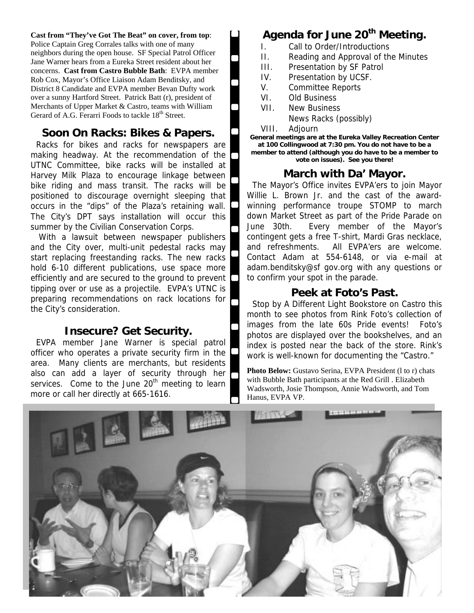**Cast from "They've Got The Beat" on cover, from top**: Police Captain Greg Corrales talks with one of many neighbors during the open house. SF Special Patrol Officer Jane Warner hears from a Eureka Street resident about her concerns. **Cast from Castro Bubble Bath**: EVPA member Rob Cox, Mayor's Office Liaison Adam Benditsky, and District 8 Candidate and EVPA member Bevan Dufty work over a sunny Hartford Street. Patrick Batt (r), president of Merchants of Upper Market & Castro, teams with William Gerard of A.G. Ferarri Foods to tackle 18<sup>th</sup> Street.

## **Soon On Racks: Bikes & Papers.**

Racks for bikes and racks for newspapers are making headway. At the recommendation of the UTNC Committee, bike racks will be installed at Harvey Milk Plaza to encourage linkage between bike riding and mass transit. The racks will be positioned to discourage overnight sleeping that occurs in the "dips" of the Plaza's retaining wall. The City's DPT says installation will occur this summer by the Civilian Conservation Corps.

 With a lawsuit between newspaper publishers and the City over, multi-unit pedestal racks may start replacing freestanding racks. The new racks hold 6-10 different publications, use space more efficiently and are secured to the ground to prevent tipping over or use as a projectile. EVPA's UTNC is preparing recommendations on rack locations for the City's consideration.

## **Insecure? Get Security.**

EVPA member Jane Warner is special patrol officer who operates a private security firm in the area. Many clients are merchants, but residents also can add a layer of security through her services. Come to the June  $20<sup>th</sup>$  meeting to learn more or call her directly at 665-1616.

# **Agenda for June 20th Meeting.**

- I. Call to Order/Introductions
- II. Reading and Approval of the Minutes
- III. Presentation by SF Patrol
- IV. Presentation by UCSF.
- V. Committee Reports
- VI. Old Business
- VII. New Business
	- News Racks (possibly)
- VIII. Adjourn

**General meetings are at the Eureka Valley Recreation Center at 100 Collingwood at 7:30 pm. You do not have to be a member to attend (although you do have to be a member to vote on issues). See you there!** 

#### **March with Da' Mayor.**

The Mayor's Office invites EVPA'ers to join Mayor Willie L. Brown Jr. and the cast of the awardwinning performance troupe STOMP to march down Market Street as part of the Pride Parade on June 30th. Every member of the Mayor's contingent gets a free T-shirt, Mardi Gras necklace, and refreshments. All EVPA'ers are welcome. Contact Adam at 554-6148, or via e-mail at adam.benditsky@sf gov.org with any questions or to confirm your spot in the parade.

#### **Peek at Foto's Past.**

Stop by A Different Light Bookstore on Castro this month to see photos from Rink Foto's collection of images from the late 60s Pride events! Foto's photos are displayed over the bookshelves, and an index is posted near the back of the store. Rink's work is well-known for documenting the "Castro."

**Photo Below:** Gustavo Serina, EVPA President (l to r) chats with Bubble Bath participants at the Red Grill . Elizabeth Wadsworth, Josie Thompson, Annie Wadsworth, and Tom Hanus, EVPA VP.

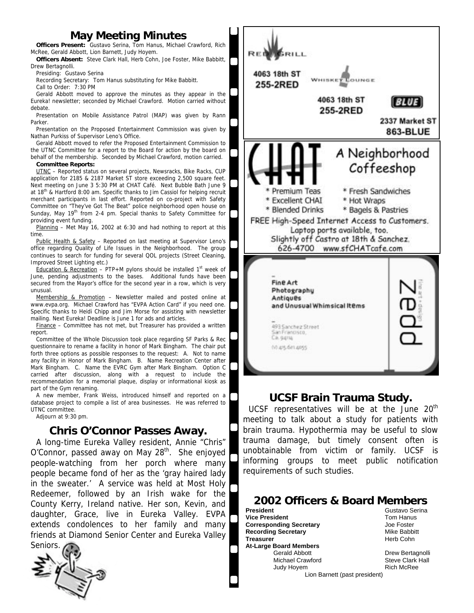# **May Meeting Minutes**

**Officers Present:** Gustavo Serina, Tom Hanus, Michael Crawford, Rich McRee, Gerald Abbott, Lion Barnett, Judy Hoyem.

**Officers Absent:** Steve Clark Hall, Herb Cohn, Joe Foster, Mike Babbitt, Drew Bertagnolli.

Presiding: Gustavo Serina

Recording Secretary: Tom Hanus substituting for Mike Babbitt.

Call to Order: 7:30 PM

Gerald Abbott moved to approve the minutes as they appear in the Eureka! newsletter; seconded by Michael Crawford. Motion carried without debate.

Presentation on Mobile Assistance Patrol (MAP) was given by Rann Parker.

Presentation on the Proposed Entertainment Commission was given by Nathan Purkiss of Supervisor Leno's Office.

Gerald Abbott moved to refer the Proposed Entertainment Commission to the UTNC Committee for a report to the Board for action by the board on behalf of the membership. Seconded by Michael Crawford, motion carried.

#### **Committee Reports:**

 application for 2185 & 2187 Market ST store exceeding 2,500 square feet. UTNC – Reported status on several projects, Newsracks, Bike Racks, CUP Next meeting on June 3 5:30 PM at CHAT Café. Next Bubble Bath June 9 at 18<sup>th</sup> & Hartford 8:00 am. Specific thanks to Jim Cassiol for helping recruit merchant participants in last effort. Reported on co-project with Safety Committee on "They've Got The Beat" police neighborhood open house on Sunday, May 19<sup>th</sup> from 2-4 pm. Special thanks to Safety Committee for providing event funding.

Planning – Met May 16, 2002 at 6:30 and had nothing to report at this time.

Public Health & Safety – Reported on last meeting at Supervisor Leno's office regarding Quality of Life Issues in the Neighborhood. The group continues to search for funding for several QOL projects (Street Cleaning, Improved Street Lighting etc.)

Education & Recreation – PTP+M pylons should be installed  $1<sup>st</sup>$  week of June, pending adjustments to the bases. Additional funds have been secured from the Mayor's office for the second year in a row, which is very unusual.

Membership & Promotion – Newsletter mailed and posted online at www.evpa.org. Michael Crawford has "EVPA Action Card" if you need one. Specific thanks to Heidi Chipp and Jim Morse for assisting with newsletter mailing. Next Eureka! Deadline is June 1 for ads and articles.

Finance – Committee has not met, but Treasurer has provided a written report.

Committee of the Whole Discussion took place regarding SF Parks & Rec questionnaire to rename a facility in honor of Mark Bingham. The chair put forth three options as possible responses to the request: A. Not to name any facility in Honor of Mark Bingham. B. Name Recreation Center after Mark Bingham. C. Name the EVRC Gym after Mark Bingham. Option C carried after discussion, along with a request to include the recommendation for a memorial plaque, display or informational kiosk as part of the Gym renaming.

A new member, Frank Weiss, introduced himself and reported on a database project to compile a list of area businesses. He was referred to UTNC committee.

Adjourn at 9:30 pm.

## **Chris O'Connor Passes Away.**

A long-time Eureka Valley resident, Annie "Chris" O'Connor, passed away on May  $28<sup>th</sup>$ . She enjoyed people-watching from her porch where many people became fond of her as the 'gray haired lady in the sweater.' A service was held at Most Holy Redeemer, followed by an Irish wake for the County Kerry, Ireland native. Her son, Kevin, and daughter, Grace, live in Eureka Valley. EVPA extends condolences to her family and many friends at Diamond Senior Center and Eureka Valley





#### **UCSF Brain Trauma Study.**

UCSF representatives will be at the June  $20<sup>th</sup>$ meeting to talk about a study for patients with brain trauma. Hypothermia may be useful to slow trauma damage, but timely consent often is unobtainable from victim or family. UCSF is informing groups to meet public notification requirements of such studies.

# **2002 Officers & Board Members**<br>**President** Gustavo Serina

**Vice President Corresponding Secretary and Corresponding Secretary Corresponding Secretary** Joe Foster<br> **Recording Secretary Corresponding Corresponding Secretary Recording Secretary Treasurer 1988 Herb Cohn At-Large Board Members**  Gerald Abbott **Drew Bertagnolli** Michael Crawford **Steve Clark Hall** Judy Hoyem **Rich McRee** 

**Gustavo Serina**<br>Tom Hanus

Lion Barnett (past president)